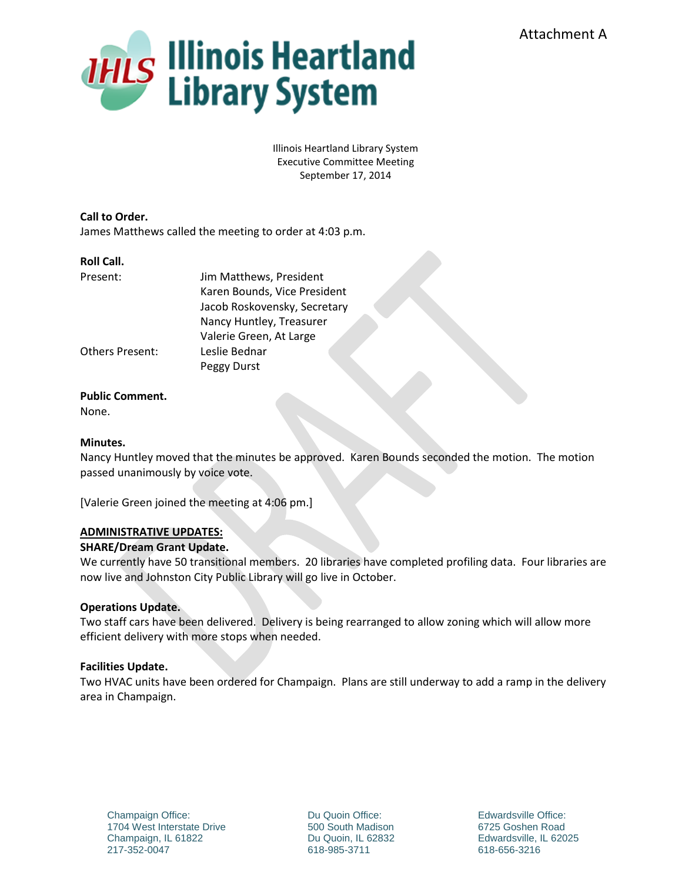

Illinois Heartland Library System Executive Committee Meeting September 17, 2014

# **Call to Order.**

James Matthews called the meeting to order at 4:03 p.m.

#### **Roll Call.**

| Present:               | Jim Matthews, President      |
|------------------------|------------------------------|
|                        | Karen Bounds, Vice President |
|                        | Jacob Roskovensky, Secretary |
|                        | Nancy Huntley, Treasurer     |
|                        | Valerie Green, At Large      |
| <b>Others Present:</b> | Leslie Bednar                |
|                        | Peggy Durst                  |

#### **Public Comment.**

None.

### **Minutes.**

Nancy Huntley moved that the minutes be approved. Karen Bounds seconded the motion. The motion passed unanimously by voice vote.

[Valerie Green joined the meeting at 4:06 pm.]

#### **ADMINISTRATIVE UPDATES:**

#### **SHARE/Dream Grant Update.**

We currently have 50 transitional members. 20 libraries have completed profiling data. Four libraries are now live and Johnston City Public Library will go live in October.

#### **Operations Update.**

Two staff cars have been delivered. Delivery is being rearranged to allow zoning which will allow more efficient delivery with more stops when needed.

# **Facilities Update.**

Two HVAC units have been ordered for Champaign. Plans are still underway to add a ramp in the delivery area in Champaign.

Du Quoin Office: 500 South Madison Du Quoin, IL 62832 618-985-3711

Edwardsville Office: 6725 Goshen Road Edwardsville, IL 62025 618-656-3216